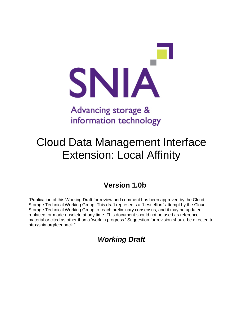

# information technology

# Cloud Data Management Interface Extension: Local Affinity

## **Version 1.0b**

"Publication of this Working Draft for review and comment has been approved by the Cloud Storage Technical Working Group. This draft represents a "best effort" attempt by the Cloud Storage Technical Working Group to reach preliminary consensus, and it may be updated, replaced, or made obsolete at any time. This document should not be used as reference material or cited as other than a 'work in progress.' Suggestion for revision should be directed to http:/snia.org/feedback."

### *Working Draft*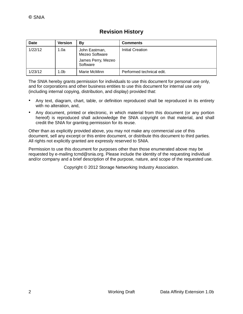#### **Revision History**

| <b>Date</b> | <b>Version</b> | Βv                                                                | <b>Comments</b>           |
|-------------|----------------|-------------------------------------------------------------------|---------------------------|
| 1/22/12     | 1.0a           | John Eastman,<br>Mezeo Software<br>James Perry, Mezeo<br>Software | Initial Creation          |
| 1/23/12     | 1.0b           | Marie McMinn                                                      | Performed technical edit. |

The SNIA hereby grants permission for individuals to use this document for personal use only, and for corporations and other business entities to use this document for internal use only (including internal copying, distribution, and display) provided that:

- Any text, diagram, chart, table, or definition reproduced shall be reproduced in its entirety with no alteration, and,
- Any document, printed or electronic, in which material from this document (or any portion hereof) is reproduced shall acknowledge the SNIA copyright on that material, and shall credit the SNIA for granting permission for its reuse.

Other than as explicitly provided above, you may not make any commercial use of this document, sell any excerpt or this entire document, or distribute this document to third parties. All rights not explicitly granted are expressly reserved to SNIA.

Permission to use this document for purposes other than those enumerated above may be requested by e-mailing tcmd@snia.org. Please include the identity of the requesting individual and/or company and a brief description of the purpose, nature, and scope of the requested use.

Copyright © 2012 Storage Networking Industry Association.